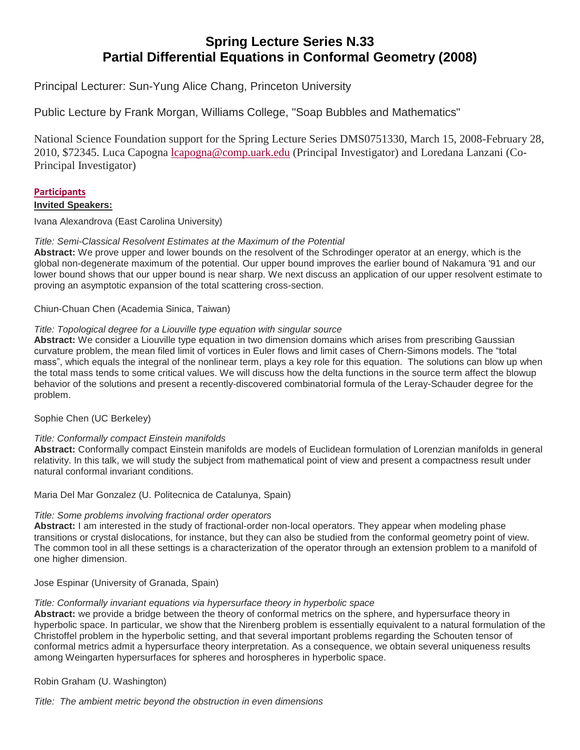# **Spring Lecture Series N.33 Partial Differential Equations in Conformal Geometry (2008)**

Principal Lecturer: Sun-Yung Alice Chang, Princeton University

Public Lecture by Frank Morgan, Williams College, "Soap Bubbles and Mathematics"

National Science Foundation support for the Spring Lecture Series DMS0751330, March 15, 2008-February 28, 2010, \$72345. Luca Capogna [lcapogna@comp.uark.edu](mailto:lcapogna@uark.edu) (Principal Investigator) and Loredana Lanzani (Co-Principal Investigator)

### **[Participants](http://fulbright.uark.edu/departments/math/_resources/research/spring-lecture-series-archive/participants-sls-2008.pdf) Invited Speakers:**

Ivana Alexandrova (East Carolina University)

### *Title: Semi-Classical Resolvent Estimates at the Maximum of the Potential*

**Abstract:** We prove upper and lower bounds on the resolvent of the Schrodinger operator at an energy, which is the global non-degenerate maximum of the potential. Our upper bound improves the earlier bound of Nakamura '91 and our lower bound shows that our upper bound is near sharp. We next discuss an application of our upper resolvent estimate to proving an asymptotic expansion of the total scattering cross-section.

Chiun-Chuan Chen (Academia Sinica, Taiwan)

### *Title: Topological degree for a Liouville type equation with singular source*

**Abstract:** We consider a Liouville type equation in two dimension domains which arises from prescribing Gaussian curvature problem, the mean filed limit of vortices in Euler flows and limit cases of Chern-Simons models. The "total mass", which equals the integral of the nonlinear term, plays a key role for this equation. The solutions can blow up when the total mass tends to some critical values. We will discuss how the delta functions in the source term affect the blowup behavior of the solutions and present a recently-discovered combinatorial formula of the Leray-Schauder degree for the problem.

Sophie Chen (UC Berkeley)

# *Title: Conformally compact Einstein manifolds*

**Abstract:** Conformally compact Einstein manifolds are models of Euclidean formulation of Lorenzian manifolds in general relativity. In this talk, we will study the subject from mathematical point of view and present a compactness result under natural conformal invariant conditions.

Maria Del Mar Gonzalez (U. Politecnica de Catalunya, Spain)

# *Title: Some problems involving fractional order operators*

**Abstract:** I am interested in the study of fractional-order non-local operators. They appear when modeling phase transitions or crystal dislocations, for instance, but they can also be studied from the conformal geometry point of view. The common tool in all these settings is a characterization of the operator through an extension problem to a manifold of one higher dimension.

Jose Espinar (University of Granada, Spain)

#### *Title: Conformally invariant equations via hypersurface theory in hyperbolic space*

**Abstract:** we provide a bridge between the theory of conformal metrics on the sphere, and hypersurface theory in hyperbolic space. In particular, we show that the Nirenberg problem is essentially equivalent to a natural formulation of the Christoffel problem in the hyperbolic setting, and that several important problems regarding the Schouten tensor of conformal metrics admit a hypersurface theory interpretation. As a consequence, we obtain several uniqueness results among Weingarten hypersurfaces for spheres and horospheres in hyperbolic space.

Robin Graham (U. Washington)

*Title: The ambient metric beyond the obstruction in even dimensions*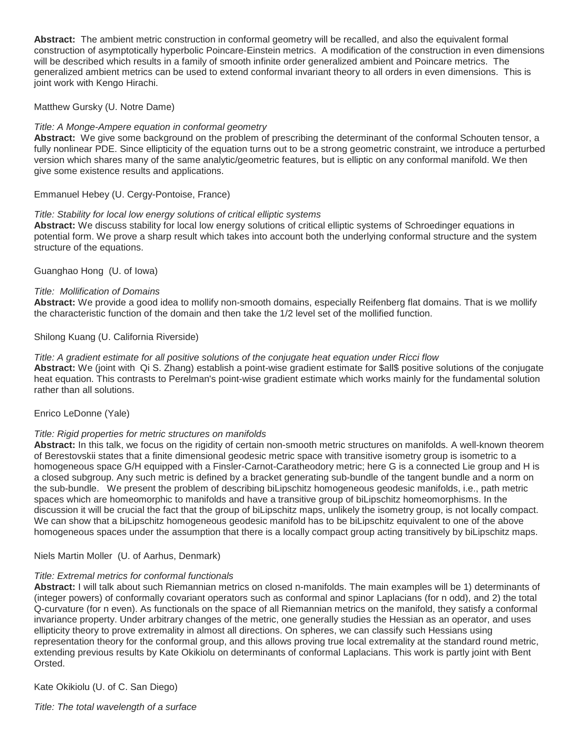**Abstract:** The ambient metric construction in conformal geometry will be recalled, and also the equivalent formal construction of asymptotically hyperbolic Poincare-Einstein metrics. A modification of the construction in even dimensions will be described which results in a family of smooth infinite order generalized ambient and Poincare metrics. The generalized ambient metrics can be used to extend conformal invariant theory to all orders in even dimensions. This is joint work with Kengo Hirachi.

Matthew Gursky (U. Notre Dame)

### *Title: A Monge-Ampere equation in conformal geometry*

**Abstract:** We give some background on the problem of prescribing the determinant of the conformal Schouten tensor, a fully nonlinear PDE. Since ellipticity of the equation turns out to be a strong geometric constraint, we introduce a perturbed version which shares many of the same analytic/geometric features, but is elliptic on any conformal manifold. We then give some existence results and applications.

Emmanuel Hebey (U. Cergy-Pontoise, France)

#### *Title: Stability for local low energy solutions of critical elliptic systems*

**Abstract:** We discuss stability for local low energy solutions of critical elliptic systems of Schroedinger equations in potential form. We prove a sharp result which takes into account both the underlying conformal structure and the system structure of the equations.

Guanghao Hong (U. of Iowa)

#### *Title: Mollification of Domains*

**Abstract:** We provide a good idea to mollify non-smooth domains, especially Reifenberg flat domains. That is we mollify the characteristic function of the domain and then take the 1/2 level set of the mollified function.

Shilong Kuang (U. California Riverside)

#### *Title: A gradient estimate for all positive solutions of the conjugate heat equation under Ricci flow*

**Abstract:** We (joint with Qi S. Zhang) establish a point-wise gradient estimate for \$all\$ positive solutions of the conjugate heat equation. This contrasts to Perelman's point-wise gradient estimate which works mainly for the fundamental solution rather than all solutions.

#### Enrico LeDonne (Yale)

#### *Title: Rigid properties for metric structures on manifolds*

**Abstract:** In this talk, we focus on the rigidity of certain non-smooth metric structures on manifolds. A well-known theorem of Berestovskii states that a finite dimensional geodesic metric space with transitive isometry group is isometric to a homogeneous space G/H equipped with a Finsler-Carnot-Caratheodory metric; here G is a connected Lie group and H is a closed subgroup. Any such metric is defined by a bracket generating sub-bundle of the tangent bundle and a norm on the sub-bundle. We present the problem of describing biLipschitz homogeneous geodesic manifolds, i.e., path metric spaces which are homeomorphic to manifolds and have a transitive group of biLipschitz homeomorphisms. In the discussion it will be crucial the fact that the group of biLipschitz maps, unlikely the isometry group, is not locally compact. We can show that a biLipschitz homogeneous geodesic manifold has to be biLipschitz equivalent to one of the above homogeneous spaces under the assumption that there is a locally compact group acting transitively by biLipschitz maps.

#### Niels Martin Moller (U. of Aarhus, Denmark)

#### *Title: Extremal metrics for conformal functionals*

**Abstract:** I will talk about such Riemannian metrics on closed n-manifolds. The main examples will be 1) determinants of (integer powers) of conformally covariant operators such as conformal and spinor Laplacians (for n odd), and 2) the total Q-curvature (for n even). As functionals on the space of all Riemannian metrics on the manifold, they satisfy a conformal invariance property. Under arbitrary changes of the metric, one generally studies the Hessian as an operator, and uses ellipticity theory to prove extremality in almost all directions. On spheres, we can classify such Hessians using representation theory for the conformal group, and this allows proving true local extremality at the standard round metric, extending previous results by Kate Okikiolu on determinants of conformal Laplacians. This work is partly joint with Bent Orsted.

Kate Okikiolu (U. of C. San Diego)

*Title: The total wavelength of a surface*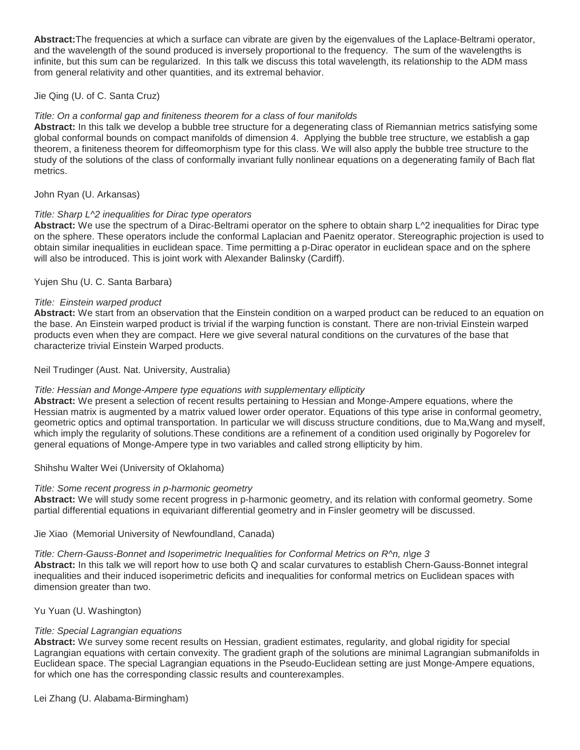**Abstract:**The frequencies at which a surface can vibrate are given by the eigenvalues of the Laplace-Beltrami operator, and the wavelength of the sound produced is inversely proportional to the frequency. The sum of the wavelengths is infinite, but this sum can be regularized. In this talk we discuss this total wavelength, its relationship to the ADM mass from general relativity and other quantities, and its extremal behavior.

### Jie Qing (U. of C. Santa Cruz)

#### *Title: On a conformal gap and finiteness theorem for a class of four manifolds*

**Abstract:** In this talk we develop a bubble tree structure for a degenerating class of Riemannian metrics satisfying some global conformal bounds on compact manifolds of dimension 4. Applying the bubble tree structure, we establish a gap theorem, a finiteness theorem for diffeomorphism type for this class. We will also apply the bubble tree structure to the study of the solutions of the class of conformally invariant fully nonlinear equations on a degenerating family of Bach flat metrics.

John Ryan (U. Arkansas)

### *Title: Sharp L^2 inequalities for Dirac type operators*

**Abstract:** We use the spectrum of a Dirac-Beltrami operator on the sphere to obtain sharp L^2 inequalities for Dirac type on the sphere. These operators include the conformal Laplacian and Paenitz operator. Stereographic projection is used to obtain similar inequalities in euclidean space. Time permitting a p-Dirac operator in euclidean space and on the sphere will also be introduced. This is joint work with Alexander Balinsky (Cardiff).

Yujen Shu (U. C. Santa Barbara)

### *Title: Einstein warped product*

**Abstract:** We start from an observation that the Einstein condition on a warped product can be reduced to an equation on the base. An Einstein warped product is trivial if the warping function is constant. There are non-trivial Einstein warped products even when they are compact. Here we give several natural conditions on the curvatures of the base that characterize trivial Einstein Warped products.

Neil Trudinger (Aust. Nat. University, Australia)

# *Title: Hessian and Monge-Ampere type equations with supplementary ellipticity*

**Abstract:** We present a selection of recent results pertaining to Hessian and Monge-Ampere equations, where the Hessian matrix is augmented by a matrix valued lower order operator. Equations of this type arise in conformal geometry, geometric optics and optimal transportation. In particular we will discuss structure conditions, due to Ma,Wang and myself, which imply the regularity of solutions.These conditions are a refinement of a condition used originally by Pogorelev for general equations of Monge-Ampere type in two variables and called strong ellipticity by him.

Shihshu Walter Wei (University of Oklahoma)

# *Title: Some recent progress in p-harmonic geometry*

**Abstract:** We will study some recent progress in p-harmonic geometry, and its relation with conformal geometry. Some partial differential equations in equivariant differential geometry and in Finsler geometry will be discussed.

Jie Xiao (Memorial University of Newfoundland, Canada)

# *Title: Chern-Gauss-Bonnet and Isoperimetric Inequalities for Conformal Metrics on R^n, n\ge 3*

**Abstract:** In this talk we will report how to use both Q and scalar curvatures to establish Chern-Gauss-Bonnet integral inequalities and their induced isoperimetric deficits and inequalities for conformal metrics on Euclidean spaces with dimension greater than two.

Yu Yuan (U. Washington)

# *Title: Special Lagrangian equations*

**Abstract:** We survey some recent results on Hessian, gradient estimates, regularity, and global rigidity for special Lagrangian equations with certain convexity. The gradient graph of the solutions are minimal Lagrangian submanifolds in Euclidean space. The special Lagrangian equations in the Pseudo-Euclidean setting are just Monge-Ampere equations, for which one has the corresponding classic results and counterexamples.

Lei Zhang (U. Alabama-Birmingham)